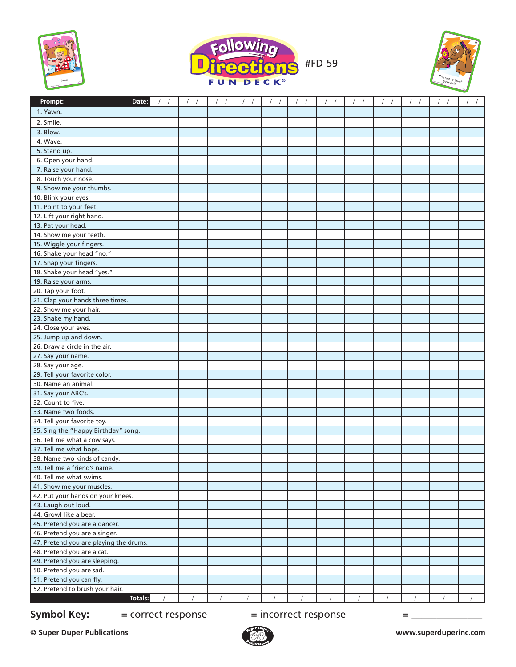





| 1. Yawn.<br>2. Smile.<br>3. Blow.<br>4. Wave.<br>5. Stand up.<br>6. Open your hand.<br>7. Raise your hand.<br>8. Touch your nose.<br>9. Show me your thumbs.<br>10. Blink your eyes.<br>11. Point to your feet.<br>12. Lift your right hand.<br>13. Pat your head.<br>14. Show me your teeth.<br>15. Wiggle your fingers.<br>16. Shake your head "no."<br>17. Snap your fingers.<br>18. Shake your head "yes."<br>19. Raise your arms.<br>20. Tap your foot.<br>21. Clap your hands three times.<br>22. Show me your hair.<br>23. Shake my hand.<br>24. Close your eyes.<br>25. Jump up and down.<br>26. Draw a circle in the air.<br>27. Say your name.<br>28. Say your age.<br>29. Tell your favorite color.<br>30. Name an animal.<br>31. Say your ABC's.<br>32. Count to five.<br>33. Name two foods.<br>34. Tell your favorite toy.<br>35. Sing the "Happy Birthday" song.<br>36. Tell me what a cow says.<br>37. Tell me what hops.<br>38. Name two kinds of candy.<br>39. Tell me a friend's name.<br>40. Tell me what swims.<br>41. Show me your muscles.<br>42. Put your hands on your knees.<br>43. Laugh out loud.<br>44. Growl like a bear.<br>45. Pretend you are a dancer.<br>46. Pretend you are a singer.<br>47. Pretend you are playing the drums.<br>48. Pretend you are a cat.<br>49. Pretend you are sleeping.<br>50. Pretend you are sad.<br>51. Pretend you can fly.<br>52. Pretend to brush your hair.<br>Totals: | Prompt:<br>Date: |  |  |  |  |  |  |
|------------------------------------------------------------------------------------------------------------------------------------------------------------------------------------------------------------------------------------------------------------------------------------------------------------------------------------------------------------------------------------------------------------------------------------------------------------------------------------------------------------------------------------------------------------------------------------------------------------------------------------------------------------------------------------------------------------------------------------------------------------------------------------------------------------------------------------------------------------------------------------------------------------------------------------------------------------------------------------------------------------------------------------------------------------------------------------------------------------------------------------------------------------------------------------------------------------------------------------------------------------------------------------------------------------------------------------------------------------------------------------------------------------------------------------------|------------------|--|--|--|--|--|--|
|                                                                                                                                                                                                                                                                                                                                                                                                                                                                                                                                                                                                                                                                                                                                                                                                                                                                                                                                                                                                                                                                                                                                                                                                                                                                                                                                                                                                                                          |                  |  |  |  |  |  |  |
|                                                                                                                                                                                                                                                                                                                                                                                                                                                                                                                                                                                                                                                                                                                                                                                                                                                                                                                                                                                                                                                                                                                                                                                                                                                                                                                                                                                                                                          |                  |  |  |  |  |  |  |
|                                                                                                                                                                                                                                                                                                                                                                                                                                                                                                                                                                                                                                                                                                                                                                                                                                                                                                                                                                                                                                                                                                                                                                                                                                                                                                                                                                                                                                          |                  |  |  |  |  |  |  |
|                                                                                                                                                                                                                                                                                                                                                                                                                                                                                                                                                                                                                                                                                                                                                                                                                                                                                                                                                                                                                                                                                                                                                                                                                                                                                                                                                                                                                                          |                  |  |  |  |  |  |  |
|                                                                                                                                                                                                                                                                                                                                                                                                                                                                                                                                                                                                                                                                                                                                                                                                                                                                                                                                                                                                                                                                                                                                                                                                                                                                                                                                                                                                                                          |                  |  |  |  |  |  |  |
|                                                                                                                                                                                                                                                                                                                                                                                                                                                                                                                                                                                                                                                                                                                                                                                                                                                                                                                                                                                                                                                                                                                                                                                                                                                                                                                                                                                                                                          |                  |  |  |  |  |  |  |
|                                                                                                                                                                                                                                                                                                                                                                                                                                                                                                                                                                                                                                                                                                                                                                                                                                                                                                                                                                                                                                                                                                                                                                                                                                                                                                                                                                                                                                          |                  |  |  |  |  |  |  |
|                                                                                                                                                                                                                                                                                                                                                                                                                                                                                                                                                                                                                                                                                                                                                                                                                                                                                                                                                                                                                                                                                                                                                                                                                                                                                                                                                                                                                                          |                  |  |  |  |  |  |  |
|                                                                                                                                                                                                                                                                                                                                                                                                                                                                                                                                                                                                                                                                                                                                                                                                                                                                                                                                                                                                                                                                                                                                                                                                                                                                                                                                                                                                                                          |                  |  |  |  |  |  |  |
|                                                                                                                                                                                                                                                                                                                                                                                                                                                                                                                                                                                                                                                                                                                                                                                                                                                                                                                                                                                                                                                                                                                                                                                                                                                                                                                                                                                                                                          |                  |  |  |  |  |  |  |
|                                                                                                                                                                                                                                                                                                                                                                                                                                                                                                                                                                                                                                                                                                                                                                                                                                                                                                                                                                                                                                                                                                                                                                                                                                                                                                                                                                                                                                          |                  |  |  |  |  |  |  |
|                                                                                                                                                                                                                                                                                                                                                                                                                                                                                                                                                                                                                                                                                                                                                                                                                                                                                                                                                                                                                                                                                                                                                                                                                                                                                                                                                                                                                                          |                  |  |  |  |  |  |  |
|                                                                                                                                                                                                                                                                                                                                                                                                                                                                                                                                                                                                                                                                                                                                                                                                                                                                                                                                                                                                                                                                                                                                                                                                                                                                                                                                                                                                                                          |                  |  |  |  |  |  |  |
|                                                                                                                                                                                                                                                                                                                                                                                                                                                                                                                                                                                                                                                                                                                                                                                                                                                                                                                                                                                                                                                                                                                                                                                                                                                                                                                                                                                                                                          |                  |  |  |  |  |  |  |
|                                                                                                                                                                                                                                                                                                                                                                                                                                                                                                                                                                                                                                                                                                                                                                                                                                                                                                                                                                                                                                                                                                                                                                                                                                                                                                                                                                                                                                          |                  |  |  |  |  |  |  |
|                                                                                                                                                                                                                                                                                                                                                                                                                                                                                                                                                                                                                                                                                                                                                                                                                                                                                                                                                                                                                                                                                                                                                                                                                                                                                                                                                                                                                                          |                  |  |  |  |  |  |  |
|                                                                                                                                                                                                                                                                                                                                                                                                                                                                                                                                                                                                                                                                                                                                                                                                                                                                                                                                                                                                                                                                                                                                                                                                                                                                                                                                                                                                                                          |                  |  |  |  |  |  |  |
|                                                                                                                                                                                                                                                                                                                                                                                                                                                                                                                                                                                                                                                                                                                                                                                                                                                                                                                                                                                                                                                                                                                                                                                                                                                                                                                                                                                                                                          |                  |  |  |  |  |  |  |
|                                                                                                                                                                                                                                                                                                                                                                                                                                                                                                                                                                                                                                                                                                                                                                                                                                                                                                                                                                                                                                                                                                                                                                                                                                                                                                                                                                                                                                          |                  |  |  |  |  |  |  |
|                                                                                                                                                                                                                                                                                                                                                                                                                                                                                                                                                                                                                                                                                                                                                                                                                                                                                                                                                                                                                                                                                                                                                                                                                                                                                                                                                                                                                                          |                  |  |  |  |  |  |  |
|                                                                                                                                                                                                                                                                                                                                                                                                                                                                                                                                                                                                                                                                                                                                                                                                                                                                                                                                                                                                                                                                                                                                                                                                                                                                                                                                                                                                                                          |                  |  |  |  |  |  |  |
|                                                                                                                                                                                                                                                                                                                                                                                                                                                                                                                                                                                                                                                                                                                                                                                                                                                                                                                                                                                                                                                                                                                                                                                                                                                                                                                                                                                                                                          |                  |  |  |  |  |  |  |
|                                                                                                                                                                                                                                                                                                                                                                                                                                                                                                                                                                                                                                                                                                                                                                                                                                                                                                                                                                                                                                                                                                                                                                                                                                                                                                                                                                                                                                          |                  |  |  |  |  |  |  |
|                                                                                                                                                                                                                                                                                                                                                                                                                                                                                                                                                                                                                                                                                                                                                                                                                                                                                                                                                                                                                                                                                                                                                                                                                                                                                                                                                                                                                                          |                  |  |  |  |  |  |  |
|                                                                                                                                                                                                                                                                                                                                                                                                                                                                                                                                                                                                                                                                                                                                                                                                                                                                                                                                                                                                                                                                                                                                                                                                                                                                                                                                                                                                                                          |                  |  |  |  |  |  |  |
|                                                                                                                                                                                                                                                                                                                                                                                                                                                                                                                                                                                                                                                                                                                                                                                                                                                                                                                                                                                                                                                                                                                                                                                                                                                                                                                                                                                                                                          |                  |  |  |  |  |  |  |
|                                                                                                                                                                                                                                                                                                                                                                                                                                                                                                                                                                                                                                                                                                                                                                                                                                                                                                                                                                                                                                                                                                                                                                                                                                                                                                                                                                                                                                          |                  |  |  |  |  |  |  |
|                                                                                                                                                                                                                                                                                                                                                                                                                                                                                                                                                                                                                                                                                                                                                                                                                                                                                                                                                                                                                                                                                                                                                                                                                                                                                                                                                                                                                                          |                  |  |  |  |  |  |  |
|                                                                                                                                                                                                                                                                                                                                                                                                                                                                                                                                                                                                                                                                                                                                                                                                                                                                                                                                                                                                                                                                                                                                                                                                                                                                                                                                                                                                                                          |                  |  |  |  |  |  |  |
|                                                                                                                                                                                                                                                                                                                                                                                                                                                                                                                                                                                                                                                                                                                                                                                                                                                                                                                                                                                                                                                                                                                                                                                                                                                                                                                                                                                                                                          |                  |  |  |  |  |  |  |
|                                                                                                                                                                                                                                                                                                                                                                                                                                                                                                                                                                                                                                                                                                                                                                                                                                                                                                                                                                                                                                                                                                                                                                                                                                                                                                                                                                                                                                          |                  |  |  |  |  |  |  |
|                                                                                                                                                                                                                                                                                                                                                                                                                                                                                                                                                                                                                                                                                                                                                                                                                                                                                                                                                                                                                                                                                                                                                                                                                                                                                                                                                                                                                                          |                  |  |  |  |  |  |  |
|                                                                                                                                                                                                                                                                                                                                                                                                                                                                                                                                                                                                                                                                                                                                                                                                                                                                                                                                                                                                                                                                                                                                                                                                                                                                                                                                                                                                                                          |                  |  |  |  |  |  |  |
|                                                                                                                                                                                                                                                                                                                                                                                                                                                                                                                                                                                                                                                                                                                                                                                                                                                                                                                                                                                                                                                                                                                                                                                                                                                                                                                                                                                                                                          |                  |  |  |  |  |  |  |
|                                                                                                                                                                                                                                                                                                                                                                                                                                                                                                                                                                                                                                                                                                                                                                                                                                                                                                                                                                                                                                                                                                                                                                                                                                                                                                                                                                                                                                          |                  |  |  |  |  |  |  |
|                                                                                                                                                                                                                                                                                                                                                                                                                                                                                                                                                                                                                                                                                                                                                                                                                                                                                                                                                                                                                                                                                                                                                                                                                                                                                                                                                                                                                                          |                  |  |  |  |  |  |  |
|                                                                                                                                                                                                                                                                                                                                                                                                                                                                                                                                                                                                                                                                                                                                                                                                                                                                                                                                                                                                                                                                                                                                                                                                                                                                                                                                                                                                                                          |                  |  |  |  |  |  |  |
|                                                                                                                                                                                                                                                                                                                                                                                                                                                                                                                                                                                                                                                                                                                                                                                                                                                                                                                                                                                                                                                                                                                                                                                                                                                                                                                                                                                                                                          |                  |  |  |  |  |  |  |
|                                                                                                                                                                                                                                                                                                                                                                                                                                                                                                                                                                                                                                                                                                                                                                                                                                                                                                                                                                                                                                                                                                                                                                                                                                                                                                                                                                                                                                          |                  |  |  |  |  |  |  |
|                                                                                                                                                                                                                                                                                                                                                                                                                                                                                                                                                                                                                                                                                                                                                                                                                                                                                                                                                                                                                                                                                                                                                                                                                                                                                                                                                                                                                                          |                  |  |  |  |  |  |  |
|                                                                                                                                                                                                                                                                                                                                                                                                                                                                                                                                                                                                                                                                                                                                                                                                                                                                                                                                                                                                                                                                                                                                                                                                                                                                                                                                                                                                                                          |                  |  |  |  |  |  |  |
|                                                                                                                                                                                                                                                                                                                                                                                                                                                                                                                                                                                                                                                                                                                                                                                                                                                                                                                                                                                                                                                                                                                                                                                                                                                                                                                                                                                                                                          |                  |  |  |  |  |  |  |
|                                                                                                                                                                                                                                                                                                                                                                                                                                                                                                                                                                                                                                                                                                                                                                                                                                                                                                                                                                                                                                                                                                                                                                                                                                                                                                                                                                                                                                          |                  |  |  |  |  |  |  |
|                                                                                                                                                                                                                                                                                                                                                                                                                                                                                                                                                                                                                                                                                                                                                                                                                                                                                                                                                                                                                                                                                                                                                                                                                                                                                                                                                                                                                                          |                  |  |  |  |  |  |  |
|                                                                                                                                                                                                                                                                                                                                                                                                                                                                                                                                                                                                                                                                                                                                                                                                                                                                                                                                                                                                                                                                                                                                                                                                                                                                                                                                                                                                                                          |                  |  |  |  |  |  |  |
|                                                                                                                                                                                                                                                                                                                                                                                                                                                                                                                                                                                                                                                                                                                                                                                                                                                                                                                                                                                                                                                                                                                                                                                                                                                                                                                                                                                                                                          |                  |  |  |  |  |  |  |
|                                                                                                                                                                                                                                                                                                                                                                                                                                                                                                                                                                                                                                                                                                                                                                                                                                                                                                                                                                                                                                                                                                                                                                                                                                                                                                                                                                                                                                          |                  |  |  |  |  |  |  |
|                                                                                                                                                                                                                                                                                                                                                                                                                                                                                                                                                                                                                                                                                                                                                                                                                                                                                                                                                                                                                                                                                                                                                                                                                                                                                                                                                                                                                                          |                  |  |  |  |  |  |  |
|                                                                                                                                                                                                                                                                                                                                                                                                                                                                                                                                                                                                                                                                                                                                                                                                                                                                                                                                                                                                                                                                                                                                                                                                                                                                                                                                                                                                                                          |                  |  |  |  |  |  |  |
|                                                                                                                                                                                                                                                                                                                                                                                                                                                                                                                                                                                                                                                                                                                                                                                                                                                                                                                                                                                                                                                                                                                                                                                                                                                                                                                                                                                                                                          |                  |  |  |  |  |  |  |
|                                                                                                                                                                                                                                                                                                                                                                                                                                                                                                                                                                                                                                                                                                                                                                                                                                                                                                                                                                                                                                                                                                                                                                                                                                                                                                                                                                                                                                          |                  |  |  |  |  |  |  |
|                                                                                                                                                                                                                                                                                                                                                                                                                                                                                                                                                                                                                                                                                                                                                                                                                                                                                                                                                                                                                                                                                                                                                                                                                                                                                                                                                                                                                                          |                  |  |  |  |  |  |  |
|                                                                                                                                                                                                                                                                                                                                                                                                                                                                                                                                                                                                                                                                                                                                                                                                                                                                                                                                                                                                                                                                                                                                                                                                                                                                                                                                                                                                                                          |                  |  |  |  |  |  |  |

## **Symbol Key:**  $=$  correct response  $=$  incorrect response  $=$  \_\_\_\_\_\_\_\_\_\_\_\_\_\_\_\_\_\_\_\_

**© Super Duper Publications www.superduperinc.com**